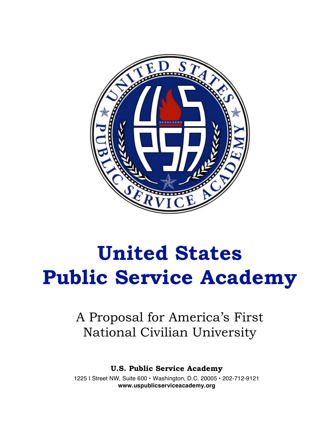

# **United States Public Service Academy**

# A Proposal for America's First National Civilian University

**U.S. Public Service Academy**

1225 I Street NW, Suite 600 • Washington, D.C. 20005 • 202-712-9121 **www.uspublicserviceacademy.org**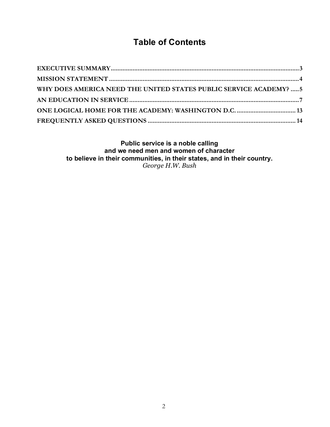# **Table of Contents**

| WHY DOES AMERICA NEED THE UNITED STATES PUBLIC SERVICE ACADEMY? 5 |  |
|-------------------------------------------------------------------|--|
|                                                                   |  |
|                                                                   |  |
|                                                                   |  |

**Public service is a noble calling and we need men and women of character to believe in their communities, in their states, and in their country.** *George H.W. Bush*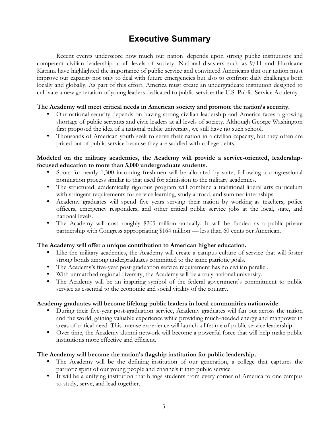# **Executive Summary**

Recent events underscore how much our nation' depends upon strong public institutions and competent civilian leadership at all levels of society. National disasters such as 9/11 and Hurricane Katrina have highlighted the importance of public service and convinced Americans that our nation must improve our capacity not only to deal with future emergencies but also to confront daily challenges both locally and globally. As part of this effort, America must create an undergraduate institution designed to cultivate a new generation of young leaders dedicated to public service: the U.S. Public Service Academy.

#### **The Academy will meet critical needs in American society and promote the nation's security.**

- Our national security depends on having strong civilian leadership and America faces a growing shortage of public servants and civic leaders at all levels of society. Although George Washington first proposed the idea of a national public university, we still have no such school.
- Thousands of American youth seek to serve their nation in a civilian capacity, but they often are priced out of public service because they are saddled with college debts.

#### **Modeled on the military academies, the Academy will provide a service-oriented, leadershipfocused education to more than 5,000 undergraduate students.**

- Spots for nearly 1,300 incoming freshmen will be allocated by state, following a congressional nomination process similar to that used for admission to the military academies.
- The structured, academically rigorous program will combine a traditional liberal arts curriculum with stringent requirements for service learning, study abroad, and summer internships.
- Academy graduates will spend five years serving their nation by working as teachers, police officers, emergency responders, and other critical public service jobs at the local, state, and national levels.
- The Academy will cost roughly \$205 million annually. It will be funded as a public-private partnership with Congress appropriating \$164 million — less than 60 cents per American.

#### **The Academy will offer a unique contribution to American higher education.**

- Like the military academies, the Academy will create a campus culture of service that will foster strong bonds among undergraduates committed to the same patriotic goals.
- The Academy's five-year post-graduation service requirement has no civilian parallel.
- With unmatched regional diversity, the Academy will be a truly national university.
- The Academy will be an inspiring symbol of the federal government's commitment to public service as essential to the economic and social vitality of the country.

#### **Academy graduates will become lifelong public leaders in local communities nationwide.**

- During their five-year post-graduation service, Academy graduates will fan out across the nation and the world, gaining valuable experience while providing much-needed energy and manpower in areas of critical need. This intense experience will launch a lifetime of public service leadership.
- Over time, the Academy alumni network will become a powerful force that will help make public institutions more effective and efficient.

#### **The Academy will become the nation's flagship institution for public leadership.**

- The Academy will be the defining institution of our generation, a college that captures the patriotic spirit of our young people and channels it into public service
- It will be a unifying institution that brings students from every corner of America to one campus to study, serve, and lead together.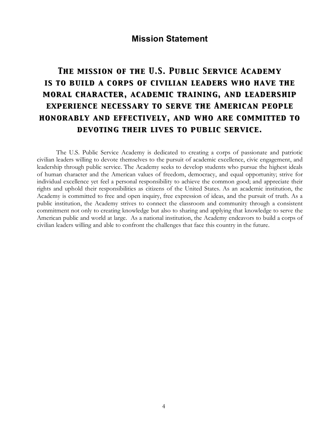### **Mission Statement**

# *The mission of the U.S. Public Service Academy is to build a corps of civilian leaders who have the moral character, academic training, and leadership experience necessary to serve the American people honorably and effectively, and who are committed to devoting their lives to public service.*

The U.S. Public Service Academy is dedicated to creating a corps of passionate and patriotic civilian leaders willing to devote themselves to the pursuit of academic excellence, civic engagement, and leadership through public service. The Academy seeks to develop students who pursue the highest ideals of human character and the American values of freedom, democracy, and equal opportunity; strive for individual excellence yet feel a personal responsibility to achieve the common good; and appreciate their rights and uphold their responsibilities as citizens of the United States. As an academic institution, the Academy is committed to free and open inquiry, free expression of ideas, and the pursuit of truth. As a public institution, the Academy strives to connect the classroom and community through a consistent commitment not only to creating knowledge but also to sharing and applying that knowledge to serve the American public and world at large. As a national institution, the Academy endeavors to build a corps of civilian leaders willing and able to confront the challenges that face this country in the future.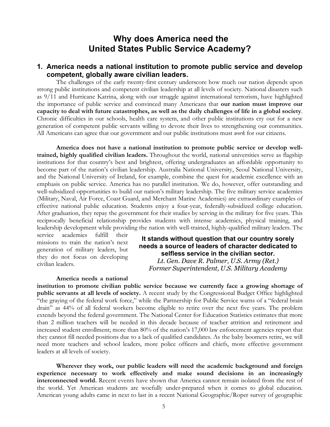# **Why does America need the United States Public Service Academy?**

#### **1. America needs a national institution to promote public service and develop competent, globally aware civilian leaders.**

The challenges of the early twenty-first century underscore how much our nation depends upon strong public institutions and competent civilian leadership at all levels of society. National disasters such as 9/11 and Hurricane Katrina, along with our struggle against international terrorism, have highlighted the importance of public service and convinced many Americans that **our nation must improve our capacity to deal with future catastrophes, as well as the daily challenges of life in a global society**. Chronic difficulties in our schools, health care system, and other public institutions cry out for a new generation of competent public servants willing to devote their lives to strengthening our communities. All Americans can agree that our government and our public institutions must *work* for our citizens.

**America does not have a national institution to promote public service or develop welltrained, highly qualified civilian leaders.** Throughout the world, national universities serve as flagship institutions for that country's best and brightest, offering undergraduates an affordable opportunity to become part of the nation's civilian leadership. Australia National University, Seoul National University, and the National University of Ireland, for example, combine the quest for academic excellence with an emphasis on public service. America has no parallel institution. We do, however, offer outstanding and well-subsidized opportunities to build our nation's military leadership. The five military service academies (Military, Naval, Air Force, Coast Guard, and Merchant Marine Academies) are extraordinary examples of effective national public education. Students enjoy a four-year, federally-subsidized college education. After graduation, they repay the government for their studies by serving in the military for five years. This reciprocally beneficial relationship provides students with intense academics, physical training, and leadership development while providing the nation with well-trained, highly-qualified military leaders. The

service academies fulfill their missions to train the nation's next generation of military leaders, but they do not focus on developing civilian leaders.

#### **It stands without question that our country sorely needs a source of leaders of character dedicated to selfless service in the civilian sector.** *Lt. Gen. Dave R. Palmer, U.S. Army (Ret.)*

*Former Superintendent, U.S. Military Academy*

**institution to promote civilian public service because we currently face a growing shortage of public servants at all levels of society.** A recent study by the Congressional Budget Office highlighted "the graying of the federal work force," while the Partnership for Public Service warns of a "federal brain drain" as 44% of all federal workers become eligible to retire over the next five years. The problem extends beyond the federal government. The National Center for Education Statistics estimates that more than 2 million teachers will be needed in this decade because of teacher attrition and retirement and increased student enrollment; more than 80% of the nation's 17,000 law enforcement agencies report that they cannot fill needed positions due to a lack of qualified candidates. As the baby boomers retire, we will need more teachers and school leaders, more police officers and chiefs, more effective government leaders at all levels of society.

**Wherever they work, our public leaders will need the academic background and foreign experience necessary to work effectively and make sound decisions in an increasingly interconnected world.** Recent events have shown that America cannot remain isolated from the rest of the world. Yet American students are woefully under-prepared when it comes to global education. American young adults came in next to last in a recent National Geographic/Roper survey of geographic

**America needs a national**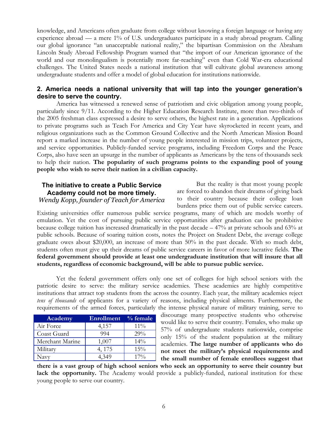knowledge, and Americans often graduate from college without knowing a foreign language or having any experience abroad — a mere 1% of U.S. undergraduates participate in a study abroad program. Calling our global ignorance "an unacceptable national reality," the bipartisan Commission on the Abraham Lincoln Study Abroad Fellowship Program warned that "the import of our American ignorance of the world and our monolingualism is potentially more far-reaching" even than Cold War-era educational challenges. The United States needs a national institution that will cultivate global awareness among undergraduate students and offer a model of global education for institutions nationwide.

#### **2. America needs a national university that will tap into the younger generation's desire to serve the country.**

America has witnessed a renewed sense of patriotism and civic obligation among young people, particularly since 9/11. According to the Higher Education Research Institute, more than two-thirds of the 2005 freshman class expressed a desire to serve others, the highest rate in a generation. Applications to private programs such as Teach For America and City Year have skyrocketed in recent years, and religious organizations such as the Common Ground Collective and the North American Mission Board report a marked increase in the number of young people interested in mission trips, volunteer projects, and service opportunities. Publicly-funded service programs, including Freedom Corps and the Peace Corps, also have seen an upsurge in the number of applicants as Americans by the tens of thousands seek to help their nation. **The popularity of such programs points to the expanding pool of young people who wish to serve their nation in a civilian capacity.**

#### **The initiative to create a Public Service Academy could not be more timely.** *Wendy Kopp, founder of Teach for America*

But the reality is that most young people are forced to abandon their dreams of giving back to their country because their college loan burdens price them out of public service careers.

Existing universities offer numerous public service programs, many of which are models worthy of emulation. Yet the cost of pursuing public service opportunities after graduation can be prohibitive because college tuition has increased dramatically in the past decade – 47% at private schools and 63% at public schools. Because of soaring tuition costs, notes the Project on Student Debt, the average college graduate owes about \$20,000, an increase of more than 50% in the past decade. With so much debt, students often must give up their dreams of public service careers in favor of more lucrative fields. **The federal government should provide at least one undergraduate institution that will insure that all students, regardless of economic background, will be able to pursue public service.**

Yet the federal government offers only one set of colleges for high school seniors with the patriotic desire to serve: the military service academies. These academies are highly competitive institutions that attract top students from the across the country. Each year, the military academies reject *tens of thousands* of applicants for a variety of reasons, including physical ailments. Furthermore, the requirements of the armed forces, particularly the intense physical nature of military training, serve to

| Academy         | Enrollment | $%$ female |
|-----------------|------------|------------|
| Air Force       | 4,157      | $11\%$     |
| Coast Guard     | 994        | 29%        |
| Merchant Marine | 1,007      | 14%        |
| Military        | 4, 175     | 15%        |
| Navy            |            | $17\%$     |

discourage many prospective students who otherwise would like to serve their country. Females, who make up 57% of undergraduate students nationwide, comprise only 15% of the student population at the military academies. **The large number of applicants who do not meet the military's physical requirements and the small number of female enrollees suggest that**

**there is a vast group of high school seniors who seek an opportunity to serve their country but lack the opportunity.** The Academy would provide a publicly-funded, national institution for these young people to serve our country.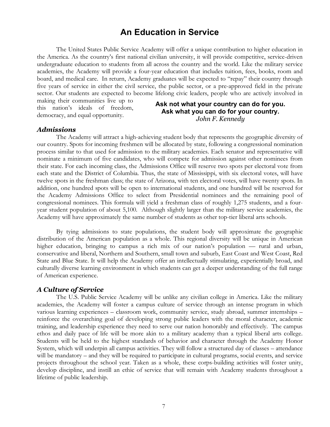# **An Education in Service**

The United States Public Service Academy will offer a unique contribution to higher education in the America. As the country's first national civilian university, it will provide competitive, service-driven undergraduate education to students from all across the country and the world. Like the military service academies, the Academy will provide a four-year education that includes tuition, fees, books, room and board, and medical care. In return, Academy graduates will be expected to "repay" their country through five years of service in either the civil service, the public sector, or a pre-approved field in the private sector. Our students are expected to become lifelong civic leaders, people who are actively involved in

making their communities live up to this nation's ideals of freedom, democracy, and equal opportunity.

#### **Ask not what your country can do for you. Ask what you can do for your country.** *John F. Kennedy*

#### *Admissions*

The Academy will attract a high-achieving student body that represents the geographic diversity of our country. Spots for incoming freshmen will be allocated by state, following a congressional nomination process similar to that used for admission to the military academies. Each senator and representative will nominate a minimum of five candidates, who will compete for admission against other nominees from their state. For each incoming class, the Admissions Office will reserve two spots per electoral vote from each state and the District of Columbia. Thus, the state of Mississippi, with six electoral votes, will have twelve spots in the freshman class; the state of Arizona, with ten electoral votes, will have twenty spots. In addition, one hundred spots will be open to international students, and one hundred will be reserved for the Academy Admissions Office to select from Presidential nominees and the remaining pool of congressional nominees. This formula will yield a freshman class of roughly 1,275 students, and a fouryear student population of about 5,100. Although slightly larger than the military service academies, the Academy will have approximately the same number of students as other top-tier liberal arts schools.

By tying admissions to state populations, the student body will approximate the geographic distribution of the American population as a whole. This regional diversity will be unique in American higher education, bringing to campus a rich mix of our nation's population — rural and urban, conservative and liberal, Northern and Southern, small town and suburb, East Coast and West Coast, Red State and Blue State. It will help the Academy offer an intellectually stimulating, experientially broad, and culturally diverse learning environment in which students can get a deeper understanding of the full range of American experience.

#### *A Culture of Service*

The U.S. Public Service Academy will be unlike any civilian college in America. Like the military academies, the Academy will foster a campus culture of service through an intense program in which various learning experiences – classroom work, community service, study abroad, summer internships – reinforce the overarching goal of developing strong public leaders with the moral character, academic training, and leadership experience they need to serve our nation honorably and effectively. The campus ethos and daily pace of life will be more akin to a military academy than a typical liberal arts college. Students will be held to the highest standards of behavior and character through the Academy Honor System, which will underpin all campus activities. They will follow a structured day of classes – attendance will be mandatory – and they will be required to participate in cultural programs, social events, and service projects throughout the school year. Taken as a whole, these corps-building activities will foster unity, develop discipline, and instill an ethic of service that will remain with Academy students throughout a lifetime of public leadership.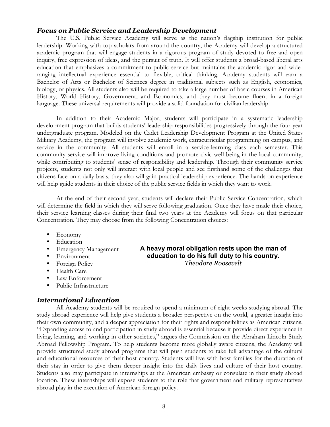#### *Focus on Public Service and Leadership Development*

The U.S. Public Service Academy will serve as the nation's flagship institution for public leadership. Working with top scholars from around the country, the Academy will develop a structured academic program that will engage students in a rigorous program of study devoted to free and open inquiry, free expression of ideas, and the pursuit of truth. It will offer students a broad-based liberal arts education that emphasizes a commitment to public service but maintains the academic rigor and wideranging intellectual experience essential to flexible, critical thinking. Academy students will earn a Bachelor of Arts or Bachelor of Sciences degree in traditional subjects such as English, economics, biology, or physics. All students also will be required to take a large number of basic courses in American History, World History, Government, and Economics, and they must become fluent in a foreign language. These universal requirements will provide a solid foundation for civilian leadership.

In addition to their Academic Major, students will participate in a systematic leadership development program that builds students' leadership responsibilities progressively through the four-year undergraduate program. Modeled on the Cadet Leadership Development Program at the United States Military Academy, the program will involve academic work, extracurricular programming on campus, and service in the community. All students will enroll in a service-learning class each semester. This community service will improve living conditions and promote civic well-being in the local community, while contributing to students' sense of responsibility and leadership. Through their community service projects, students not only will interact with local people and see firsthand some of the challenges that citizens face on a daily basis, they also will gain practical leadership experience. The hands-on experience will help guide students in their choice of the public service fields in which they want to work.

At the end of their second year, students will declare their Public Service Concentration, which will determine the field in which they will serve following graduation. Once they have made their choice, their service learning classes during their final two years at the Academy will focus on that particular Concentration. They may choose from the following Concentration choices:

- Economy
- Education
- Emergency Management
- **Environment**
- Foreign Policy
- Health Care
- Law Enforcement
- Public Infrastructure

#### *International Education*

All Academy students will be required to spend a minimum of eight weeks studying abroad. The study abroad experience will help give students a broader perspective on the world, a greater insight into their own community, and a deeper appreciation for their rights and responsibilities as American citizens. "Expanding access to and participation in study abroad is essential because it provide direct experience in living, learning, and working in other societies," argues the Commission on the Abraham Lincoln Study Abroad Fellowship Program. To help students become more globally aware citizens, the Academy will provide structured study abroad programs that will push students to take full advantage of the cultural and educational resources of their host country. Students will live with host families for the duration of their stay in order to give them deeper insight into the daily lives and culture of their host country. Students also may participate in internships at the American embassy or consulate in their study abroad location. These internships will expose students to the role that government and military representatives abroad play in the execution of American foreign policy.

**A heavy moral obligation rests upon the man of education to do his full duty to his country.** *Theodore Roosevelt*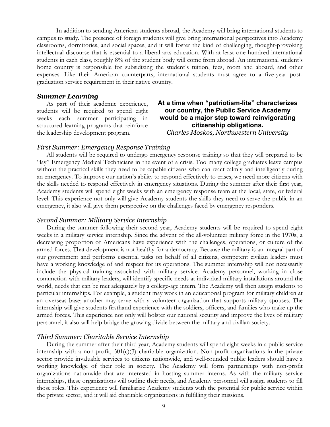In addition to sending American students abroad, the Academy will bring international students to campus to study. The presence of foreign students will give bring international perspectives into Academy classrooms, dormitories, and social spaces, and it will foster the kind of challenging, thought-provoking intellectual discourse that is essential to a liberal arts education. With at least one hundred international students in each class, roughly 8% of the student body will come from abroad. An international student's home country is responsible for subsidizing the student's tuition, fees, room and aboard, and other expenses. Like their American counterparts, international students must agree to a five-year postgraduation service requirement in their native country.

#### *Summer Learning*

As part of their academic experience, students will be required to spend eight weeks each summer participating in structured learning programs that reinforce the leadership development program.

#### **At a time when "patriotism-lite" characterizes our country, the Public Service Academy would be a major step toward reinvigorating citizenship obligations.**

*Charles Moskos, Northwestern University*

#### *First Summer: Emergency Response Training*

All students will be required to undergo emergency response training so that they will prepared to be "lay" Emergency Medical Technicians in the event of a crisis. Too many college graduates leave campus without the practical skills they need to be capable citizens who can react calmly and intelligently during an emergency. To improve our nation's ability to respond effectively to crises, we need more citizens with the skills needed to respond effectively in emergency situations. During the summer after their first year, Academy students will spend eight weeks with an emergency response team at the local, state, or federal level. This experience not only will give Academy students the skills they need to serve the public in an emergency, it also will give them perspective on the challenges faced by emergency responders.

#### *Second Summer: Military Service Internship*

During the summer following their second year, Academy students will be required to spend eight weeks in a military service internship. Since the advent of the all-volunteer military force in the 1970s, a decreasing proportion of Americans have experience with the challenges, operations, or culture of the armed forces. That development is not healthy for a democracy. Because the military is an integral part of our government and performs essential tasks on behalf of all citizens, competent civilian leaders must have a working knowledge of and respect for its operations. The summer internship will not necessarily include the physical training associated with military service. Academy personnel, working in close conjunction with military leaders, will identify specific needs at individual military installations around the world, needs that can be met adequately by a college-age intern. The Academy will then assign students to particular internships. For example, a student may work in an educational program for military children at an overseas base; another may serve with a volunteer organization that supports military spouses. The internship will give students firsthand experience with the soldiers, officers, and families who make up the armed forces. This experience not only will bolster our national security and improve the lives of military personnel, it also will help bridge the growing divide between the military and civilian society.

#### *Third Summer: Charitable Service Internship*

During the summer after their third year, Academy students will spend eight weeks in a public service internship with a non-profit,  $501(c)(3)$  charitable organization. Non-profit organizations in the private sector provide invaluable services to citizens nationwide, and well-rounded public leaders should have a working knowledge of their role in society. The Academy will form partnerships with non-profit organizations nationwide that are interested in hosting summer interns. As with the military service internships, these organizations will outline their needs, and Academy personnel will assign students to fill those roles. This experience will familiarize Academy students with the potential for public service within the private sector, and it will aid charitable organizations in fulfilling their missions.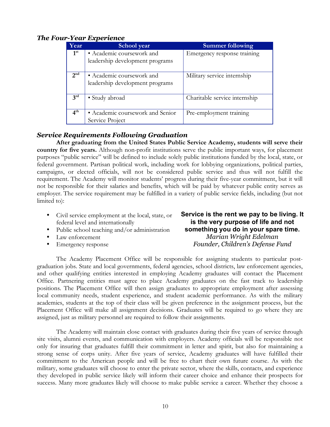#### *The Four-Year Experience*

| Year            | School year                      | <b>Summer following</b>       |
|-----------------|----------------------------------|-------------------------------|
| 1 <sup>st</sup> | • Academic coursework and        | Emergency response training   |
|                 | leadership development programs  |                               |
|                 |                                  |                               |
| 2 <sup>nd</sup> | · Academic coursework and        | Military service internship   |
|                 | leadership development programs  |                               |
|                 |                                  |                               |
| 3 <sup>rd</sup> | • Study abroad                   | Charitable service internship |
|                 |                                  |                               |
| 4 <sup>th</sup> | · Academic coursework and Senior | Pre-employment training       |
|                 | Service Project                  |                               |

#### *Service Requirements Following Graduation*

**After graduating from the United States Public Service Academy, students will serve their country for five years.** Although non-profit institutions serve the public important ways, for placement purposes "public service" will be defined to include solely public institutions funded by the local, state, or federal government. Partisan political work, including work for lobbying organizations, political parties, campaigns, or elected officials, will not be considered public service and thus will not fulfill the requirement. The Academy will monitor students' progress during their five-year commitment, but it will not be responsible for their salaries and benefits, which will be paid by whatever public entity serves as employer. The service requirement may be fulfilled in a variety of public service fields, including (but not limited to):

- Civil service employment at the local, state, or federal level and internationally
- Public school teaching and/or administration
- Law enforcement
- Emergency response

**Service is the rent we pay to be living. It is the very purpose of life and not something you do in your spare time.** *Marian Wright Edelman Founder, Children's Defense Fund*

The Academy Placement Office will be responsible for assigning students to particular postgraduation jobs. State and local governments, federal agencies, school districts, law enforcement agencies, and other qualifying entities interested in employing Academy graduates will contact the Placement Office. Partnering entities must agree to place Academy graduates on the fast track to leadership positions. The Placement Office will then assign graduates to appropriate employment after assessing local community needs, student experience, and student academic performance. As with the military academies, students at the top of their class will be given preference in the assignment process, but the Placement Office will make all assignment decisions. Graduates will be required to go where they are assigned, just as military personnel are required to follow their assignments.

The Academy will maintain close contact with graduates during their five years of service through site visits, alumni events, and communication with employers. Academy officials will be responsible not only for insuring that graduates fulfill their commitment in letter and spirit, but also for maintaining a strong sense of corps unity. After five years of service, Academy graduates will have fulfilled their commitment to the American people and will be free to chart their own future course. As with the military, some graduates will choose to enter the private sector, where the skills, contacts, and experience they developed in public service likely will inform their career choice and enhance their prospects for success. Many more graduates likely will choose to make public service a career. Whether they choose a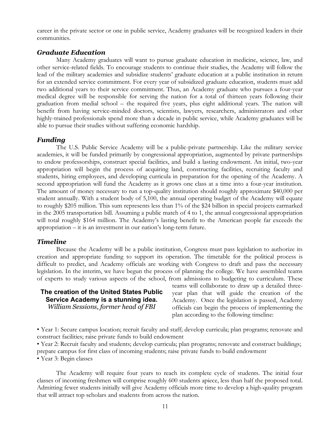career in the private sector or one in public service, Academy graduates will be recognized leaders in their communities.

#### *Graduate Education*

Many Academy graduates will want to pursue graduate education in medicine, science, law, and other service-related fields. To encourage students to continue their studies, the Academy will follow the lead of the military academies and subsidize students' graduate education at a public institution in return for an extended service commitment. For every year of subsidized graduate education, students must add two additional years to their service commitment. Thus, an Academy graduate who pursues a four-year medical degree will be responsible for serving the nation for a total of thirteen years following their graduation from medial school – the required five years, plus eight additional years. The nation will benefit from having service-minded doctors, scientists, lawyers, researchers, administrators and other highly-trained professionals spend more than a decade in public service, while Academy graduates will be able to pursue their studies without suffering economic hardship.

#### *Funding*

The U.S. Public Service Academy will be a public-private partnership. Like the military service academies, it will be funded primarily by congressional appropriation, augmented by private partnerships to endow professorships, construct special facilities, and build a lasting endowment. An initial, two-year appropriation will begin the process of acquiring land, constructing facilities, recruiting faculty and students, hiring employees, and developing curricula in preparation for the opening of the Academy. A second appropriation will fund the Academy as it grows one class at a time into a four-year institution. The amount of money necessary to run a top-quality institution should roughly approximate \$40,000 per student annually. With a student body of 5,100, the annual operating budget of the Academy will equate to roughly \$205 million. This sum represents less than 1% of the \$24 billion in special projects earmarked in the 2005 transportation bill. Assuming a public match of 4 to 1, the annual congressional appropriation will total roughly \$164 million. The Academy's lasting benefit to the American people far exceeds the appropriation – it is an investment in our nation's long-term future.

#### *Timeline*

Because the Academy will be a public institution, Congress must pass legislation to authorize its creation and appropriate funding to support its operation. The timetable for the political process is difficult to predict, and Academy officials are working with Congress to draft and pass the necessary legislation. In the interim, we have begun the process of planning the college. We have assembled teams of experts to study various aspects of the school, from admissions to budgeting to curriculum. These

#### **The creation of the United States Public Service Academy is a stunning idea.** *William Sessions, former head of FBI*

teams will collaborate to draw up a detailed threeyear plan that will guide the creation of the Academy. Once the legislation is passed, Academy officials can begin the process of implementing the plan according to the following timeline:

• Year 1: Secure campus location; recruit faculty and staff; develop curricula; plan programs; renovate and construct facilities; raise private funds to build endowment

• Year 2: Recruit faculty and students; develop curricula; plan programs; renovate and construct buildings; prepare campus for first class of incoming students; raise private funds to build endowment

• Year 3: Begin classes

The Academy will require four years to reach its complete cycle of students. The initial four classes of incoming freshmen will comprise roughly 600 students apiece, less than half the proposed total. Admitting fewer students initially will give Academy officials more time to develop a high-quality program that will attract top scholars and students from across the nation.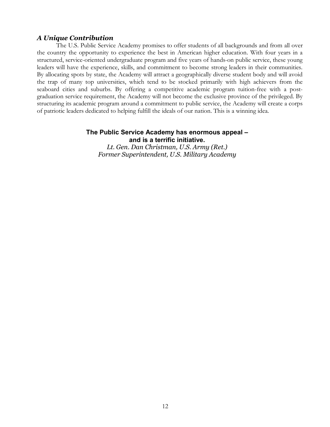#### *A Unique Contribution*

The U.S. Public Service Academy promises to offer students of all backgrounds and from all over the country the opportunity to experience the best in American higher education. With four years in a structured, service-oriented undergraduate program and five years of hands-on public service, these young leaders will have the experience, skills, and commitment to become strong leaders in their communities. By allocating spots by state, the Academy will attract a geographically diverse student body and will avoid the trap of many top universities, which tend to be stocked primarily with high achievers from the seaboard cities and suburbs. By offering a competitive academic program tuition-free with a postgraduation service requirement, the Academy will not become the exclusive province of the privileged. By structuring its academic program around a commitment to public service, the Academy will create a corps of patriotic leaders dedicated to helping fulfill the ideals of our nation. This is a winning idea.

#### **The Public Service Academy has enormous appeal – and is a terrific initiative.**

*Lt. Gen. Dan Christman, U.S. Army (Ret.) Former Superintendent, U.S. Military Academy*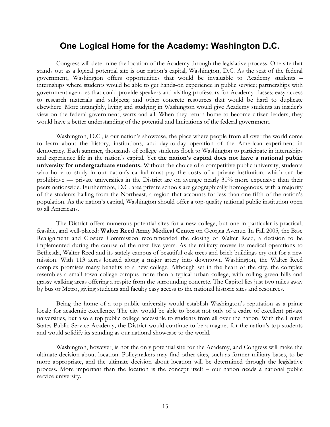## **One Logical Home for the Academy: Washington D.C.**

Congress will determine the location of the Academy through the legislative process. One site that stands out as a logical potential site is our nation's capital, Washington, D.C. As the seat of the federal government, Washington offers opportunities that would be invaluable to Academy students – internships where students would be able to get hands-on experience in public service; partnerships with government agencies that could provide speakers and visiting professors for Academy classes; easy access to research materials and subjects; and other concrete resources that would be hard to duplicate elsewhere. More intangibly, living and studying in Washington would give Academy students an insider's view on the federal government, warts and all. When they return home to become citizen leaders, they would have a better understanding of the potential and limitations of the federal government.

Washington, D.C., is our nation's showcase, the place where people from all over the world come to learn about the history, institutions, and day-to-day operation of the American experiment in democracy. Each summer, thousands of college students flock to Washington to participate in internships and experience life in the nation's capital. Yet **the nation's capital does not have a national public university for undergraduate students.** Without the choice of a competitive public university, students who hope to study in our nation's capital must pay the costs of a private institution, which can be prohibitive — private universities in the District are on average nearly 30% more expensive than their peers nationwide. Furthermore, D.C. area private schools are geographically homogenous, with a majority of the students hailing from the Northeast, a region that accounts for less than one-fifth of the nation's population. As the nation's capital, Washington should offer a top-quality national public institution open to all Americans.

The District offers numerous potential sites for a new college, but one in particular is practical, feasible, and well-placed: **Walter Reed Army Medical Center** on Georgia Avenue. In Fall 2005, the Base Realignment and Closure Commission recommended the closing of Walter Reed, a decision to be implemented during the course of the next five years. As the military moves its medical operations to Bethesda, Walter Reed and its stately campus of beautiful oak trees and brick buildings cry out for a new mission. With 113 acres located along a major artery into downtown Washington, the Walter Reed complex promises many benefits to a new college. Although set in the heart of the city, the complex resembles a small town college campus more than a typical urban college, with rolling green hills and grassy walking areas offering a respite from the surrounding concrete. The Capitol lies just two miles away by bus or Metro, giving students and faculty easy access to the national historic sites and resources.

Being the home of a top public university would establish Washington's reputation as a prime locale for academic excellence. The city would be able to boast not only of a cadre of excellent private universities, but also a top public college accessible to students from all over the nation. With the United States Public Service Academy, the District would continue to be a magnet for the nation's top students and would solidify its standing as our national showcase to the world.

Washington, however, is not the only potential site for the Academy, and Congress will make the ultimate decision about location. Policymakers may find other sites, such as former military bases, to be more appropriate, and the ultimate decision about location will be determined through the legislative process. More important than the location is the concept itself – our nation needs a national public service university.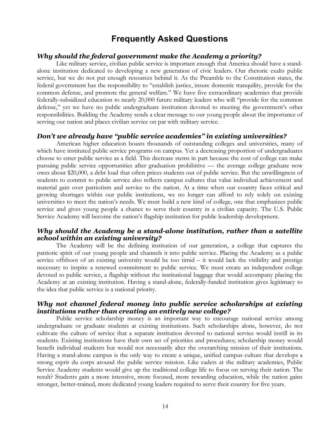# **Frequently Asked Questions**

#### *Why should the federal government make the Academy a priority?*

Like military service, civilian public service is important enough that America should have a standalone institution dedicated to developing a new generation of civic leaders. Our rhetoric exalts public service, but we do not put enough resources behind it. As the Preamble to the Constitution states, the federal government has the responsibility to "establish justice, insure domestic tranquility, provide for the common defense, and promote the general welfare." We have five extraordinary academies that provide federally-subsidized education to nearly 20,000 future military leaders who will "provide for the common defense," yet we have no public undergraduate institution devoted to meeting the government's other responsibilities. Building the Academy sends a clear message to our young people about the importance of serving our nation and places civilian service on par with military service.

#### *Don't we already have "public service academies" in existing universities?*

American higher education boasts thousands of outstanding colleges and universities, many of which have instituted public service programs on campus. Yet a decreasing proportion of undergraduates choose to enter public service as a field. This decrease stems in part because the cost of college can make pursuing public service opportunities after graduation prohibitive — the average college graduate now owes about \$20,000, a debt load that often prices students out of public service. But the unwillingness of students to commit to public service also reflects campus cultures that value individual achievement and material gain over patriotism and service to the nation. At a time when our country faces critical and growing shortages within our public institutions, we no longer can afford to rely solely on existing universities to meet the nation's needs. We must build a new kind of college, one that emphasizes public service and gives young people a chance to serve their country in a civilian capacity. The U.S. Public Service Academy will become the nation's flagship institution for public leadership development.

#### *Why should the Academy be a stand-alone institution, rather than a satellite school within an existing university?*

The Academy will be the defining institution of our generation, a college that captures the patriotic spirit of our young people and channels it into public service. Placing the Academy as a public service offshoot of an existing university would be too timid – it would lack the visibility and prestige necessary to inspire a renewed commitment to public service. We must create an independent college devoted to public service, a flagship without the institutional baggage that would accompany placing the Academy at an existing institution. Having a stand-alone, federally-funded institution gives legitimacy to the idea that public service is a national priority.

#### *Why not channel federal money into public service scholarships at existing institutions rather than creating an entirely new college?*

Public service scholarship money is an important way to encourage national service among undergraduate or graduate students at existing institutions. Such scholarships alone, however, do not cultivate the culture of service that a separate institution devoted to national service would instill in its students. Existing institutions have their own set of priorities and procedures; scholarship money would benefit individual students but would not necessarily alter the overarching mission of their institutions. Having a stand-alone campus is the only way to create a unique, unified campus culture that develops a strong esprit du corps around the public service mission. Like cadets at the military academies, Public Service Academy students would give up the traditional college life to focus on serving their nation. The result? Students gain a more intensive, more focused, more rewarding education, while the nation gains stronger, better-trained, more dedicated young leaders required to serve their country for five years.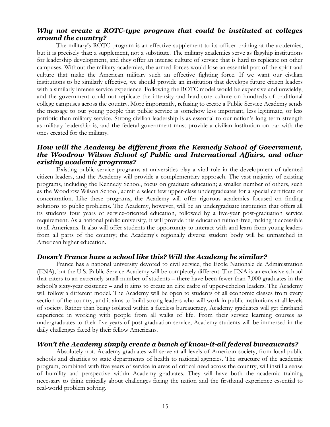#### *Why not create a ROTC-type program that could be instituted at colleges around the country?*

The military's ROTC program is an effective supplement to its officer training at the academies, but it is precisely that: a supplement, not a substitute. The military academies serve as flagship institutions for leadership development, and they offer an intense culture of service that is hard to replicate on other campuses. Without the military academies, the armed forces would lose an essential part of the spirit and culture that make the American military such an effective fighting force. If we want our civilian institutions to be similarly effective, we should provide an institution that develops future citizen leaders with a similarly intense service experience. Following the ROTC model would be expensive and unwieldy, and the government could not replicate the intensity and hard-core culture on hundreds of traditional college campuses across the country. More importantly, refusing to create a Public Service Academy sends the message to our young people that public service is somehow less important, less legitimate, or less patriotic than military service. Strong civilian leadership is as essential to our nation's long-term strength as military leadership is, and the federal government must provide a civilian institution on par with the ones created for the military.

#### *How will the Academy be different from the Kennedy School of Government, the Woodrow Wilson School of Public and International Affairs, and other existing academic programs?*

Existing public service programs at universities play a vital role in the development of talented citizen leaders, and the Academy will provide a complementary approach. The vast majority of existing programs, including the Kennedy School, focus on graduate education; a smaller number of others, such as the Woodrow Wilson School, admit a select few upper-class undergraduates for a special certificate or concentration. Like these programs, the Academy will offer rigorous academics focused on finding solutions to public problems. The Academy, however, will be an undergraduate institution that offers all its students four years of service-oriented education, followed by a five-year post-graduation service requirement. As a national public university, it will provide this education tuition-free, making it accessible to all Americans. It also will offer students the opportunity to interact with and learn from young leaders from all parts of the country; the Academy's regionally diverse student body will be unmatched in American higher education.

#### *Doesn't France have a school like this? Will the Academy be similar?*

France has a national university devoted to civil service, the Ecole Nationale de Administration (ENA), but the U.S. Public Service Academy will be completely different. The ENA is an exclusive school that caters to an extremely small number of students – there have been fewer than 7,000 graduates in the school's sixty-year existence – and it aims to create an elite cadre of upper-echelon leaders. The Academy will follow a different model. The Academy will be open to students of all economic classes from every section of the country, and it aims to build strong leaders who will work in public institutions at all levels of society. Rather than being isolated within a faceless bureaucracy, Academy graduates will get firsthand experience in working with people from all walks of life. From their service learning courses as undergraduates to their five years of post-graduation service, Academy students will be immersed in the daily challenges faced by their fellow Americans.

#### *Won't the Academy simply create a bunch of know-it-all federal bureaucrats?*

Absolutely not. Academy graduates will serve at all levels of American society, from local public schools and charities to state departments of health to national agencies. The structure of the academic program, combined with five years of service in areas of critical need across the country, will instill a sense of humility and perspective within Academy graduates. They will have both the academic training necessary to think critically about challenges facing the nation and the firsthand experience essential to real-world problem solving.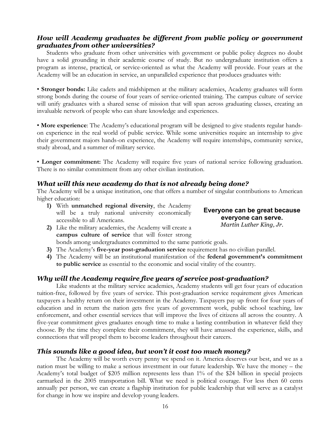#### *How will Academy graduates be different from public policy or government graduates from other universities?*

Students who graduate from other universities with government or public policy degrees no doubt have a solid grounding in their academic course of study. But no undergraduate institution offers a program as intense, practical, or service-oriented as what the Academy will provide. Four years at the Academy will be an education in service, an unparalleled experience that produces graduates with:

• **Stronger bonds:** Like cadets and midshipmen at the military academies, Academy graduates will form strong bonds during the course of four years of service-oriented training. The campus culture of service will unify graduates with a shared sense of mission that will span across graduating classes, creating an invaluable network of people who can share knowledge and experiences.

• **More experience**: The Academy's educational program will be designed to give students regular handson experience in the real world of public service. While some universities require an internship to give their government majors hands-on experience, the Academy will require internships, community service, study abroad, and a summer of military service.

• **Longer commitment:** The Academy will require five years of national service following graduation. There is no similar commitment from any other civilian institution.

#### *What will this new academy do that is not already being done?*

The Academy will be a unique institution, one that offers a number of singular contributions to American higher education:

- **1)** With **unmatched regional diversity**, the Academy will be a truly national university economically accessible to all Americans.
- **2)** Like the military academies, the Academy will create a **campus culture of service** that will foster strong bonds among undergraduates committed to the same patriotic goals.
- **3)** The Academy's **five-year post-graduation service** requirement has no civilian parallel.
- **4)** The Academy will be an institutional manifestation of the **federal government's commitment to public service** as essential to the economic and social vitality of the country.

#### *Why will the Academy require five years of service post-graduation?*

Like students at the military service academies, Academy students will get four years of education tuition-free, followed by five years of service. This post-graduation service requirement gives American taxpayers a healthy return on their investment in the Academy. Taxpayers pay up front for four years of education and in return the nation gets five years of government work, public school teaching, law enforcement, and other essential services that will improve the lives of citizens all across the country. A five-year commitment gives graduates enough time to make a lasting contribution in whatever field they choose. By the time they complete their commitment, they will have amassed the experience, skills, and connections that will propel them to become leaders throughout their careers.

#### *This sounds like a good idea, but won't it cost too much money?*

The Academy will be worth every penny we spend on it. America deserves our best, and we as a nation must be willing to make a serious investment in our future leadership. We have the money – the Academy's total budget of \$205 million represents less than 1% of the \$24 billion in special projects earmarked in the 2005 transportation bill. What we need is political courage. For less then 60 cents annually per person, we can create a flagship institution for public leadership that will serve as a catalyst for change in how we inspire and develop young leaders.

**Everyone can be great because everyone can serve.** *Martin Luther King, Jr.*